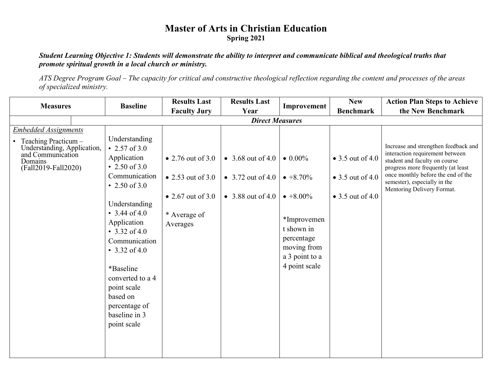## **Master of Arts in Christian Education Spring 2021**

## *Student Learning Objective 1: Students will demonstrate the ability to interpret and communicate biblical and theological truths that promote spiritual growth in a local church or ministry.*

*ATS Degree Program Goal – The capacity for critical and constructive theological reflection regarding the content and processes of the areas of specialized ministry.*

| <b>Measures</b>                                                                                                                           | <b>Baseline</b>                                                                                                                                                                                                                                                                                                             | <b>Results Last</b>                                                                           | <b>Results Last</b>                                           | Improvement                                                                                                                                            | <b>New</b>                                                                       | <b>Action Plan Steps to Achieve</b>                                                                                                                                                                                                                |  |  |
|-------------------------------------------------------------------------------------------------------------------------------------------|-----------------------------------------------------------------------------------------------------------------------------------------------------------------------------------------------------------------------------------------------------------------------------------------------------------------------------|-----------------------------------------------------------------------------------------------|---------------------------------------------------------------|--------------------------------------------------------------------------------------------------------------------------------------------------------|----------------------------------------------------------------------------------|----------------------------------------------------------------------------------------------------------------------------------------------------------------------------------------------------------------------------------------------------|--|--|
|                                                                                                                                           |                                                                                                                                                                                                                                                                                                                             | <b>Faculty Jury</b>                                                                           | Year                                                          |                                                                                                                                                        | <b>Benchmark</b>                                                                 | the New Benchmark                                                                                                                                                                                                                                  |  |  |
|                                                                                                                                           | <b>Direct Measures</b>                                                                                                                                                                                                                                                                                                      |                                                                                               |                                                               |                                                                                                                                                        |                                                                                  |                                                                                                                                                                                                                                                    |  |  |
| <b>Embedded Assignments</b><br>Teaching Practicum -<br>Understanding, Application,<br>and Communication<br>Domains<br>(Fall2019-Fall2020) | Understanding<br>• 2.57 of $3.0$<br>Application<br>• 2.50 of 3.0<br>Communication<br>• 2.50 of 3.0<br>Understanding<br>• $3.44$ of $4.0$<br>Application<br>• $3.32$ of 4.0<br>Communication<br>• $3.32$ of 4.0<br>*Baseline<br>converted to a 4<br>point scale<br>based on<br>percentage of<br>baseline in 3<br>point scale | • 2.76 out of $3.0$<br>• 2.53 out of $3.0$<br>• 2.67 out of $3.0$<br>* Average of<br>Averages | • 3.68 out of 4.0<br>• 3.72 out of 4.0<br>• $3.88$ out of 4.0 | $\bullet$ 0.00%<br>$\bullet +8.70\%$<br>$\bullet +8.00\%$<br>*Improvemen<br>t shown in<br>percentage<br>moving from<br>a 3 point to a<br>4 point scale | $\bullet$ 3.5 out of 4.0<br>$\bullet$ 3.5 out of 4.0<br>$\bullet$ 3.5 out of 4.0 | Increase and strengthen feedback and<br>interaction requirement between<br>student and faculty on course<br>progress more frequently (at least<br>once monthly before the end of the<br>semester), especially in the<br>Mentoring Delivery Format. |  |  |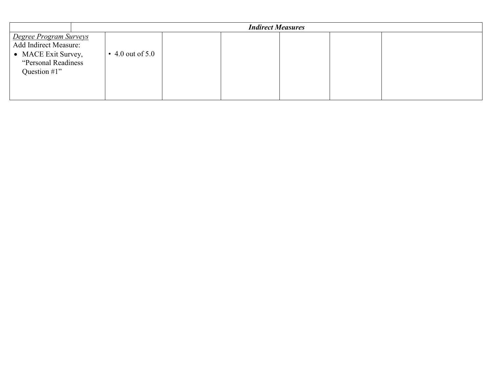|                                                                                                                                | <b>Indirect Measures</b> |                    |  |  |  |  |  |
|--------------------------------------------------------------------------------------------------------------------------------|--------------------------|--------------------|--|--|--|--|--|
| <b>Degree Program Surveys</b><br><b>Add Indirect Measure:</b><br>• MACE Exit Survey,<br>"Personal Readiness"<br>Question $#1"$ |                          | • 4.0 out of $5.0$ |  |  |  |  |  |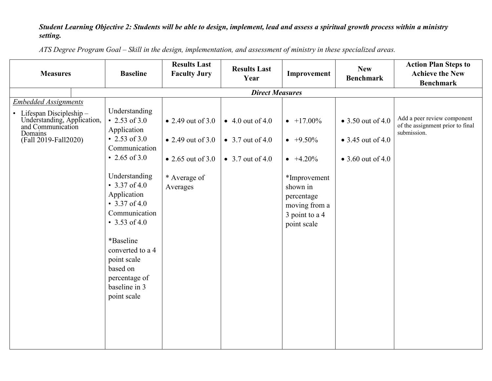## *Student Learning Objective 2: Students will be able to design, implement, lead and assess a spiritual growth process within a ministry setting.*

*ATS Degree Program Goal – Skill in the design, implementation, and assessment of ministry in these specialized areas.*

| <b>Measures</b>                                                                                                                                  | <b>Baseline</b>                                                                                                                                                                                                                                                                                                       | <b>Results Last</b><br><b>Faculty Jury</b>                                                              | <b>Results Last</b><br>Year                                      | Improvement                                                                                                                                             | <b>New</b><br><b>Benchmark</b>                                              | <b>Action Plan Steps to</b><br><b>Achieve the New</b><br><b>Benchmark</b>      |  |  |  |
|--------------------------------------------------------------------------------------------------------------------------------------------------|-----------------------------------------------------------------------------------------------------------------------------------------------------------------------------------------------------------------------------------------------------------------------------------------------------------------------|---------------------------------------------------------------------------------------------------------|------------------------------------------------------------------|---------------------------------------------------------------------------------------------------------------------------------------------------------|-----------------------------------------------------------------------------|--------------------------------------------------------------------------------|--|--|--|
|                                                                                                                                                  | <b>Direct Measures</b>                                                                                                                                                                                                                                                                                                |                                                                                                         |                                                                  |                                                                                                                                                         |                                                                             |                                                                                |  |  |  |
| <b>Embedded Assignments</b><br>• Lifespan Discipleship -<br>Understanding, Application,<br>and Communication<br>Domains<br>(Fall 2019-Fall 2020) | Understanding<br>• 2.53 of 3.0<br>Application<br>• 2.53 of 3.0<br>Communication<br>• 2.65 of 3.0<br>Understanding<br>• $3.37$ of 4.0<br>Application<br>• $3.37$ of 4.0<br>Communication<br>• 3.53 of 4.0<br>*Baseline<br>converted to a 4<br>point scale<br>based on<br>percentage of<br>baseline in 3<br>point scale | $\bullet$ 2.49 out of 3.0<br>• 2.49 out of 3.0<br>$\bullet$ 2.65 out of 3.0<br>* Average of<br>Averages | $\bullet$ 4.0 out of 4.0<br>• 3.7 out of 4.0<br>• 3.7 out of 4.0 | $\bullet$ +17.00%<br>$\bullet +9.50\%$<br>$\bullet +4.20\%$<br>*Improvement<br>shown in<br>percentage<br>moving from a<br>3 point to a 4<br>point scale | $\bullet$ 3.50 out of 4.0<br>$\bullet$ 3.45 out of 4.0<br>• 3.60 out of 4.0 | Add a peer review component<br>of the assignment prior to final<br>submission. |  |  |  |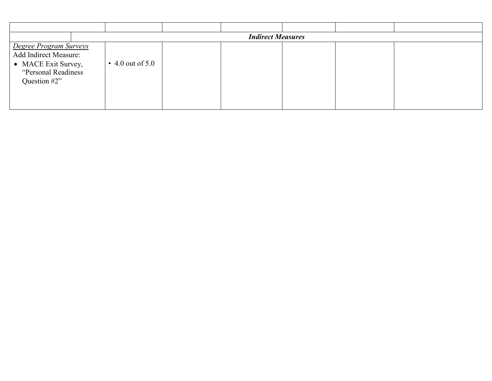|                                                                                                                       | <b>Indirect Measures</b> |  |  |  |  |  |  |
|-----------------------------------------------------------------------------------------------------------------------|--------------------------|--|--|--|--|--|--|
| <b>Degree Program Surveys</b><br>Add Indirect Measure:<br>• MACE Exit Survey,<br>"Personal Readiness"<br>Question #2" | $\cdot$ 4.0 out of 5.0   |  |  |  |  |  |  |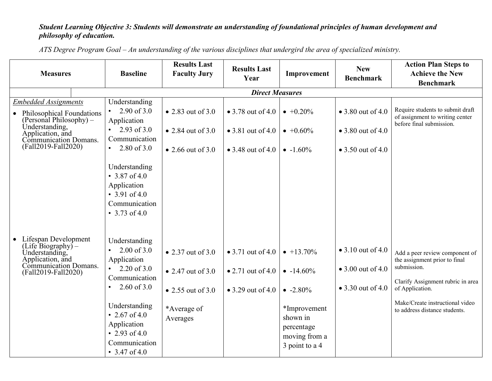## *Student Learning Objective 3: Students will demonstrate an understanding of foundational principles of human development and philosophy of education.*

**Measures Baseline Results Last Faculty Jury** Results Last **Improvement New Benchmark Action Plan Steps to Achieve the New Benchmark** *Direct Measures Embedded Assignments* • Philosophical Foundations (Personal Philosophy) – Understanding, Application, and Communication Domans. (Fall2019-Fall2020) • Lifespan Development (Life Biography) – Understanding, Application, and Communication Domans. (Fall2019-Fall2020) Understanding • 2.90 of  $3.0$ Application • 2.93 of  $3.0$ Communication • 2.80 of  $3.0$ Understanding • 3.87 of 4.0 Application • 3.91 of 4.0 Communication • 3.73 of 4.0 Understanding  $2.00$  of 3.0 Application • 2.20 of  $3.0$ Communication • 2.60 of 3.0 Understanding • 2.67 of 4.0 Application • 2.93 of 4.0 Communication • 3.47 of 4.0 • 2.83 out of 3.0 • 2.84 out of 3.0 • 2.66 out of 3.0 • 2.37 out of 3.0 • 2.47 out of  $3.0$ • 2.55 out of 3.0 \*Average of Averages • 3.78 out of 4.0 • 3.81 out of 4.0 • 3.48 out of 4.0  $\vert$ • 3.71 out of 4.0 • 2.71 out of 4.0  $\bullet$  3.29 out of 4.0  $\bullet +0.20\%$  $\bullet +0.60\%$  $\bullet$  -1.60%  $\bullet$  +13.70%  $\bullet$  -14.60%  $\bullet$  -2.80% \*Improvement shown in percentage moving from a 3 point to a 4 • 3.80 out of 4.0 • 3.80 out of 4.0  $• 3.50$  out of  $4.0$ • 3.10 out of 4.0 • 3.00 out of 4.0 • 3.30 out of 4.0 Require students to submit draft of assignment to writing center before final submission. Add a peer review component of the assignment prior to final submission. Clarify Assignment rubric in area of Application. Make/Create instructional video to address distance students.

*ATS Degree Program Goal – An understanding of the various disciplines that undergird the area of specialized ministry.*